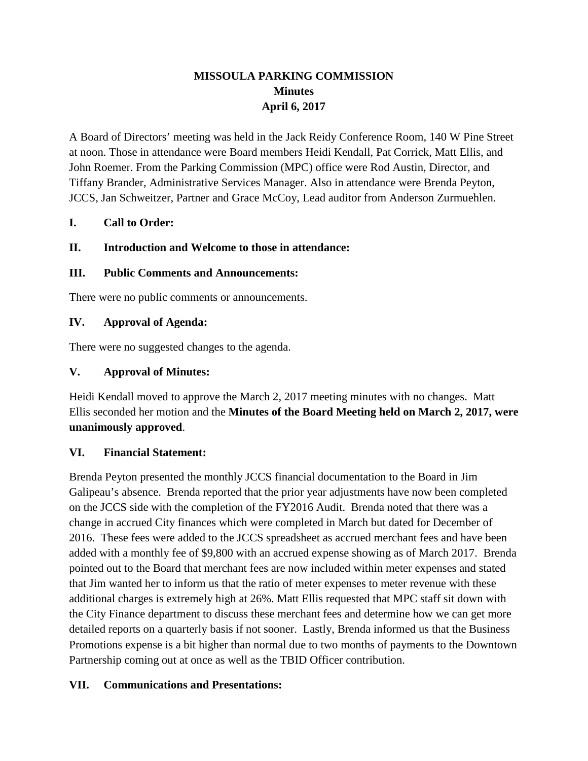# **MISSOULA PARKING COMMISSION Minutes April 6, 2017**

A Board of Directors' meeting was held in the Jack Reidy Conference Room, 140 W Pine Street at noon. Those in attendance were Board members Heidi Kendall, Pat Corrick, Matt Ellis, and John Roemer. From the Parking Commission (MPC) office were Rod Austin, Director, and Tiffany Brander, Administrative Services Manager. Also in attendance were Brenda Peyton, JCCS, Jan Schweitzer, Partner and Grace McCoy, Lead auditor from Anderson Zurmuehlen.

#### **I. Call to Order:**

#### **II. Introduction and Welcome to those in attendance:**

#### **III. Public Comments and Announcements:**

There were no public comments or announcements.

#### **IV. Approval of Agenda:**

There were no suggested changes to the agenda.

#### **V. Approval of Minutes:**

Heidi Kendall moved to approve the March 2, 2017 meeting minutes with no changes. Matt Ellis seconded her motion and the **Minutes of the Board Meeting held on March 2, 2017, were unanimously approved**.

#### **VI. Financial Statement:**

Brenda Peyton presented the monthly JCCS financial documentation to the Board in Jim Galipeau's absence. Brenda reported that the prior year adjustments have now been completed on the JCCS side with the completion of the FY2016 Audit. Brenda noted that there was a change in accrued City finances which were completed in March but dated for December of 2016. These fees were added to the JCCS spreadsheet as accrued merchant fees and have been added with a monthly fee of \$9,800 with an accrued expense showing as of March 2017. Brenda pointed out to the Board that merchant fees are now included within meter expenses and stated that Jim wanted her to inform us that the ratio of meter expenses to meter revenue with these additional charges is extremely high at 26%. Matt Ellis requested that MPC staff sit down with the City Finance department to discuss these merchant fees and determine how we can get more detailed reports on a quarterly basis if not sooner. Lastly, Brenda informed us that the Business Promotions expense is a bit higher than normal due to two months of payments to the Downtown Partnership coming out at once as well as the TBID Officer contribution.

#### **VII. Communications and Presentations:**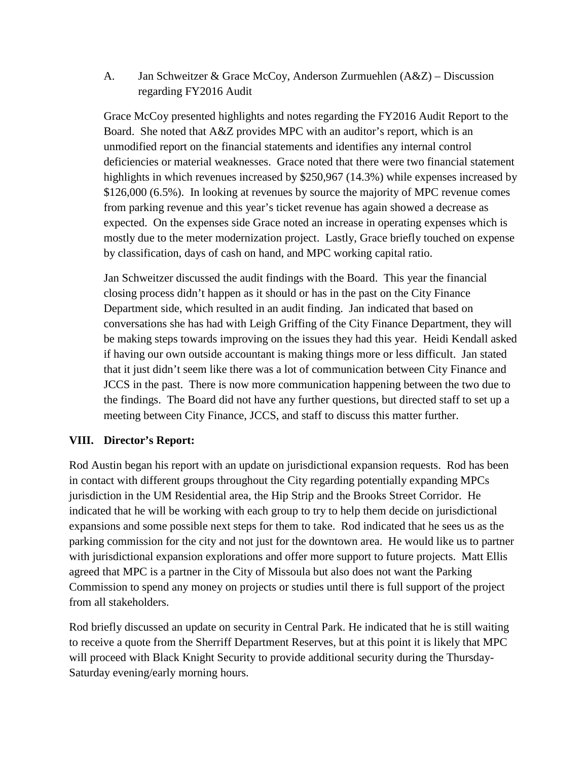A. Jan Schweitzer & Grace McCoy, Anderson Zurmuehlen (A&Z) – Discussion regarding FY2016 Audit

Grace McCoy presented highlights and notes regarding the FY2016 Audit Report to the Board. She noted that A&Z provides MPC with an auditor's report, which is an unmodified report on the financial statements and identifies any internal control deficiencies or material weaknesses. Grace noted that there were two financial statement highlights in which revenues increased by \$250,967 (14.3%) while expenses increased by \$126,000 (6.5%). In looking at revenues by source the majority of MPC revenue comes from parking revenue and this year's ticket revenue has again showed a decrease as expected. On the expenses side Grace noted an increase in operating expenses which is mostly due to the meter modernization project. Lastly, Grace briefly touched on expense by classification, days of cash on hand, and MPC working capital ratio.

Jan Schweitzer discussed the audit findings with the Board. This year the financial closing process didn't happen as it should or has in the past on the City Finance Department side, which resulted in an audit finding. Jan indicated that based on conversations she has had with Leigh Griffing of the City Finance Department, they will be making steps towards improving on the issues they had this year. Heidi Kendall asked if having our own outside accountant is making things more or less difficult. Jan stated that it just didn't seem like there was a lot of communication between City Finance and JCCS in the past. There is now more communication happening between the two due to the findings. The Board did not have any further questions, but directed staff to set up a meeting between City Finance, JCCS, and staff to discuss this matter further.

#### **VIII. Director's Report:**

Rod Austin began his report with an update on jurisdictional expansion requests. Rod has been in contact with different groups throughout the City regarding potentially expanding MPCs jurisdiction in the UM Residential area, the Hip Strip and the Brooks Street Corridor. He indicated that he will be working with each group to try to help them decide on jurisdictional expansions and some possible next steps for them to take. Rod indicated that he sees us as the parking commission for the city and not just for the downtown area. He would like us to partner with jurisdictional expansion explorations and offer more support to future projects. Matt Ellis agreed that MPC is a partner in the City of Missoula but also does not want the Parking Commission to spend any money on projects or studies until there is full support of the project from all stakeholders.

Rod briefly discussed an update on security in Central Park. He indicated that he is still waiting to receive a quote from the Sherriff Department Reserves, but at this point it is likely that MPC will proceed with Black Knight Security to provide additional security during the Thursday-Saturday evening/early morning hours.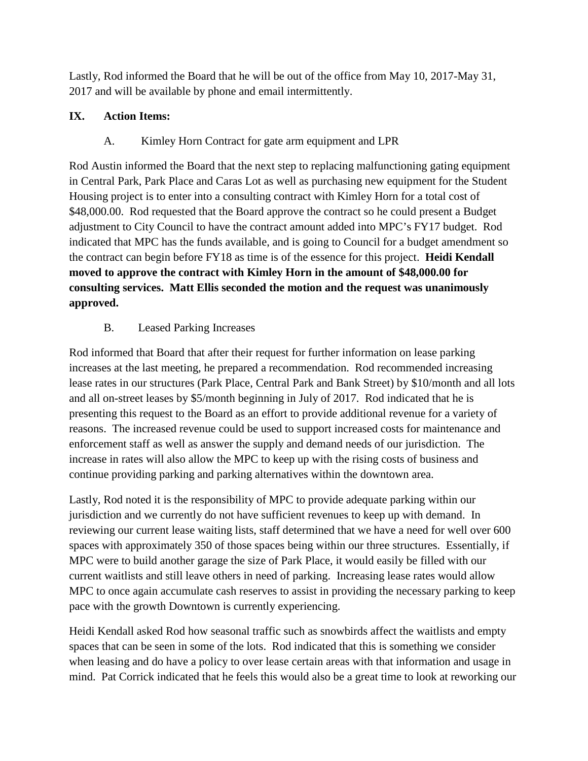Lastly, Rod informed the Board that he will be out of the office from May 10, 2017-May 31, 2017 and will be available by phone and email intermittently.

# **IX. Action Items:**

# A. Kimley Horn Contract for gate arm equipment and LPR

Rod Austin informed the Board that the next step to replacing malfunctioning gating equipment in Central Park, Park Place and Caras Lot as well as purchasing new equipment for the Student Housing project is to enter into a consulting contract with Kimley Horn for a total cost of \$48,000.00. Rod requested that the Board approve the contract so he could present a Budget adjustment to City Council to have the contract amount added into MPC's FY17 budget. Rod indicated that MPC has the funds available, and is going to Council for a budget amendment so the contract can begin before FY18 as time is of the essence for this project. **Heidi Kendall moved to approve the contract with Kimley Horn in the amount of \$48,000.00 for consulting services. Matt Ellis seconded the motion and the request was unanimously approved.**

# B. Leased Parking Increases

Rod informed that Board that after their request for further information on lease parking increases at the last meeting, he prepared a recommendation. Rod recommended increasing lease rates in our structures (Park Place, Central Park and Bank Street) by \$10/month and all lots and all on-street leases by \$5/month beginning in July of 2017. Rod indicated that he is presenting this request to the Board as an effort to provide additional revenue for a variety of reasons. The increased revenue could be used to support increased costs for maintenance and enforcement staff as well as answer the supply and demand needs of our jurisdiction. The increase in rates will also allow the MPC to keep up with the rising costs of business and continue providing parking and parking alternatives within the downtown area.

Lastly, Rod noted it is the responsibility of MPC to provide adequate parking within our jurisdiction and we currently do not have sufficient revenues to keep up with demand. In reviewing our current lease waiting lists, staff determined that we have a need for well over 600 spaces with approximately 350 of those spaces being within our three structures. Essentially, if MPC were to build another garage the size of Park Place, it would easily be filled with our current waitlists and still leave others in need of parking. Increasing lease rates would allow MPC to once again accumulate cash reserves to assist in providing the necessary parking to keep pace with the growth Downtown is currently experiencing.

Heidi Kendall asked Rod how seasonal traffic such as snowbirds affect the waitlists and empty spaces that can be seen in some of the lots. Rod indicated that this is something we consider when leasing and do have a policy to over lease certain areas with that information and usage in mind. Pat Corrick indicated that he feels this would also be a great time to look at reworking our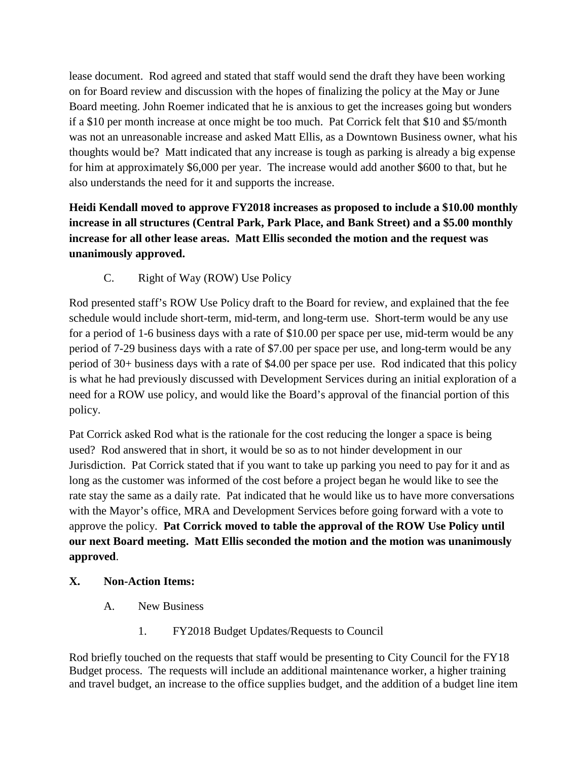lease document. Rod agreed and stated that staff would send the draft they have been working on for Board review and discussion with the hopes of finalizing the policy at the May or June Board meeting. John Roemer indicated that he is anxious to get the increases going but wonders if a \$10 per month increase at once might be too much. Pat Corrick felt that \$10 and \$5/month was not an unreasonable increase and asked Matt Ellis, as a Downtown Business owner, what his thoughts would be? Matt indicated that any increase is tough as parking is already a big expense for him at approximately \$6,000 per year. The increase would add another \$600 to that, but he also understands the need for it and supports the increase.

**Heidi Kendall moved to approve FY2018 increases as proposed to include a \$10.00 monthly increase in all structures (Central Park, Park Place, and Bank Street) and a \$5.00 monthly increase for all other lease areas. Matt Ellis seconded the motion and the request was unanimously approved.**

C. Right of Way (ROW) Use Policy

Rod presented staff's ROW Use Policy draft to the Board for review, and explained that the fee schedule would include short-term, mid-term, and long-term use. Short-term would be any use for a period of 1-6 business days with a rate of \$10.00 per space per use, mid-term would be any period of 7-29 business days with a rate of \$7.00 per space per use, and long-term would be any period of 30+ business days with a rate of \$4.00 per space per use. Rod indicated that this policy is what he had previously discussed with Development Services during an initial exploration of a need for a ROW use policy, and would like the Board's approval of the financial portion of this policy.

Pat Corrick asked Rod what is the rationale for the cost reducing the longer a space is being used? Rod answered that in short, it would be so as to not hinder development in our Jurisdiction. Pat Corrick stated that if you want to take up parking you need to pay for it and as long as the customer was informed of the cost before a project began he would like to see the rate stay the same as a daily rate. Pat indicated that he would like us to have more conversations with the Mayor's office, MRA and Development Services before going forward with a vote to approve the policy. **Pat Corrick moved to table the approval of the ROW Use Policy until our next Board meeting. Matt Ellis seconded the motion and the motion was unanimously approved**.

### **X. Non-Action Items:**

- A. New Business
	- 1. FY2018 Budget Updates/Requests to Council

Rod briefly touched on the requests that staff would be presenting to City Council for the FY18 Budget process. The requests will include an additional maintenance worker, a higher training and travel budget, an increase to the office supplies budget, and the addition of a budget line item